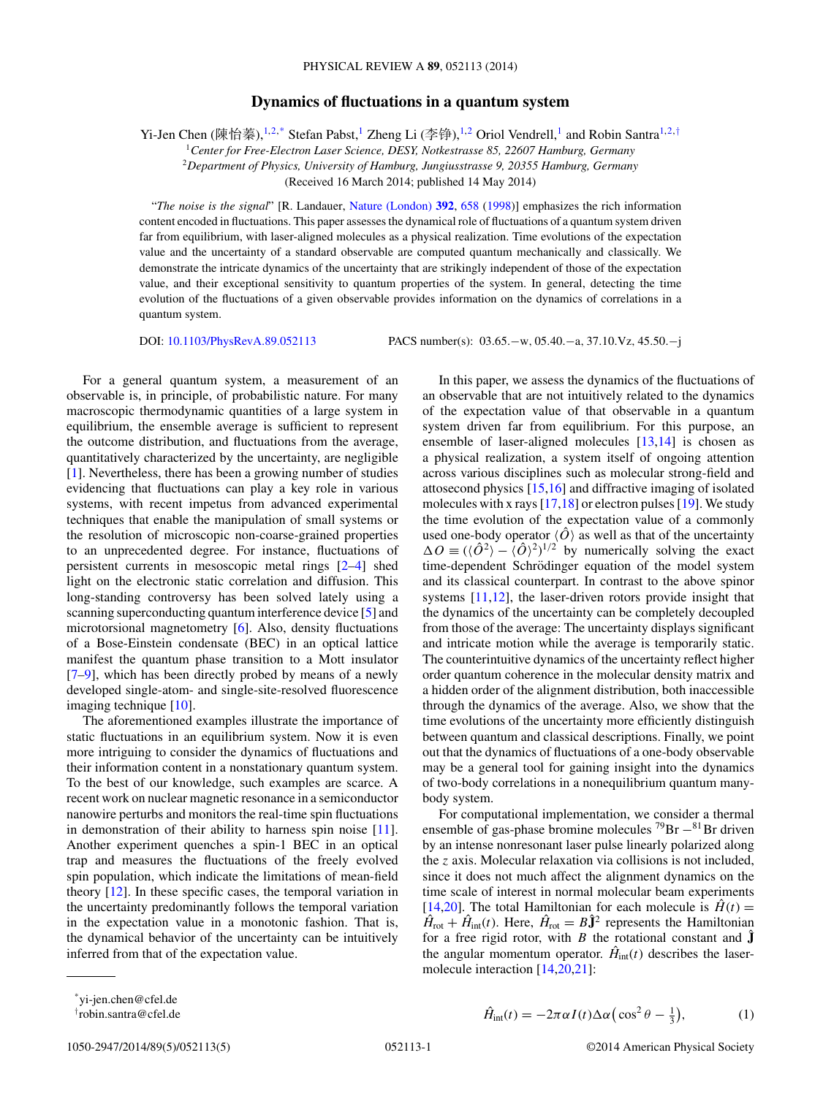## **Dynamics of fluctuations in a quantum system**

Yi-Jen Chen (陳怡蓁),<sup>1,2,\*</sup> Stefan Pabst,<sup>1</sup> Zheng Li (李铮),<sup>1,2</sup> Oriol Vendrell,<sup>1</sup> and Robin Santra<sup>1,2,†</sup>

<sup>1</sup>*Center for Free-Electron Laser Science, DESY, Notkestrasse 85, 22607 Hamburg, Germany*

<sup>2</sup>*Department of Physics, University of Hamburg, Jungiusstrasse 9, 20355 Hamburg, Germany*

(Received 16 March 2014; published 14 May 2014)

"*The noise is the signal*" [R. Landauer, [Nature \(London\)](http://dx.doi.org/10.1038/33551) **[392](http://dx.doi.org/10.1038/33551)**, [658](http://dx.doi.org/10.1038/33551) [\(1998\)](http://dx.doi.org/10.1038/33551)] emphasizes the rich information content encoded in fluctuations. This paper assesses the dynamical role of fluctuations of a quantum system driven far from equilibrium, with laser-aligned molecules as a physical realization. Time evolutions of the expectation value and the uncertainty of a standard observable are computed quantum mechanically and classically. We demonstrate the intricate dynamics of the uncertainty that are strikingly independent of those of the expectation value, and their exceptional sensitivity to quantum properties of the system. In general, detecting the time evolution of the fluctuations of a given observable provides information on the dynamics of correlations in a quantum system.

DOI: [10.1103/PhysRevA.89.052113](http://dx.doi.org/10.1103/PhysRevA.89.052113) PACS number(s): 03*.*65*.*−w*,* 05*.*40*.*−a*,* 37*.*10*.*Vz*,* 45*.*50*.*−j

For a general quantum system, a measurement of an observable is, in principle, of probabilistic nature. For many macroscopic thermodynamic quantities of a large system in equilibrium, the ensemble average is sufficient to represent the outcome distribution, and fluctuations from the average, quantitatively characterized by the uncertainty, are negligible [\[1\]](#page-3-0). Nevertheless, there has been a growing number of studies evidencing that fluctuations can play a key role in various systems, with recent impetus from advanced experimental techniques that enable the manipulation of small systems or the resolution of microscopic non-coarse-grained properties to an unprecedented degree. For instance, fluctuations of persistent currents in mesoscopic metal rings [\[2–4\]](#page-3-0) shed light on the electronic static correlation and diffusion. This long-standing controversy has been solved lately using a scanning superconducting quantum interference device [\[5\]](#page-3-0) and microtorsional magnetometry [\[6\]](#page-3-0). Also, density fluctuations of a Bose-Einstein condensate (BEC) in an optical lattice manifest the quantum phase transition to a Mott insulator [\[7–9\]](#page-3-0), which has been directly probed by means of a newly developed single-atom- and single-site-resolved fluorescence imaging technique [\[10\]](#page-3-0).

The aforementioned examples illustrate the importance of static fluctuations in an equilibrium system. Now it is even more intriguing to consider the dynamics of fluctuations and their information content in a nonstationary quantum system. To the best of our knowledge, such examples are scarce. A recent work on nuclear magnetic resonance in a semiconductor nanowire perturbs and monitors the real-time spin fluctuations in demonstration of their ability to harness spin noise  $[11]$ . Another experiment quenches a spin-1 BEC in an optical trap and measures the fluctuations of the freely evolved spin population, which indicate the limitations of mean-field theory [\[12\]](#page-3-0). In these specific cases, the temporal variation in the uncertainty predominantly follows the temporal variation in the expectation value in a monotonic fashion. That is, the dynamical behavior of the uncertainty can be intuitively inferred from that of the expectation value.

In this paper, we assess the dynamics of the fluctuations of an observable that are not intuitively related to the dynamics of the expectation value of that observable in a quantum system driven far from equilibrium. For this purpose, an ensemble of laser-aligned molecules [\[13,14\]](#page-3-0) is chosen as a physical realization, a system itself of ongoing attention across various disciplines such as molecular strong-field and attosecond physics [\[15,16\]](#page-3-0) and diffractive imaging of isolated molecules with x rays [\[17,18\]](#page-3-0) or electron pulses [\[19\]](#page-3-0). We study the time evolution of the expectation value of a commonly used one-body operator  $\langle \hat{O} \rangle$  as well as that of the uncertainty  $\Delta O \equiv ((\hat{O}^2) - (\hat{O})^2)^{1/2}$  by numerically solving the exact time-dependent Schrödinger equation of the model system and its classical counterpart. In contrast to the above spinor systems [\[11,12\]](#page-3-0), the laser-driven rotors provide insight that the dynamics of the uncertainty can be completely decoupled from those of the average: The uncertainty displays significant and intricate motion while the average is temporarily static. The counterintuitive dynamics of the uncertainty reflect higher order quantum coherence in the molecular density matrix and a hidden order of the alignment distribution, both inaccessible through the dynamics of the average. Also, we show that the time evolutions of the uncertainty more efficiently distinguish between quantum and classical descriptions. Finally, we point out that the dynamics of fluctuations of a one-body observable may be a general tool for gaining insight into the dynamics of two-body correlations in a nonequilibrium quantum manybody system.

For computational implementation, we consider a thermal ensemble of gas-phase bromine molecules  $^{79}Br - ^{81}Br$  driven by an intense nonresonant laser pulse linearly polarized along the *z* axis. Molecular relaxation via collisions is not included, since it does not much affect the alignment dynamics on the time scale of interest in normal molecular beam experiments [\[14,20\]](#page-3-0). The total Hamiltonian for each molecule is  $\hat{H}(t) =$  $\hat{H}_{\text{rot}} + \hat{H}_{\text{int}}(t)$ . Here,  $\hat{H}_{\text{rot}} = B\hat{\mathbf{J}}^2$  represents the Hamiltonian for a free rigid rotor, with *B* the rotational constant and  $\hat{J}$ the angular momentum operator.  $\hat{H}_{int}(t)$  describes the lasermolecule interaction [\[14,20,21\]](#page-3-0):

$$
\hat{H}_{\text{int}}(t) = -2\pi\alpha I(t)\Delta\alpha \left(\cos^2\theta - \frac{1}{3}\right),\tag{1}
$$

<sup>\*</sup>yi-jen.chen@cfel.de

<sup>†</sup> robin.santra@cfel.de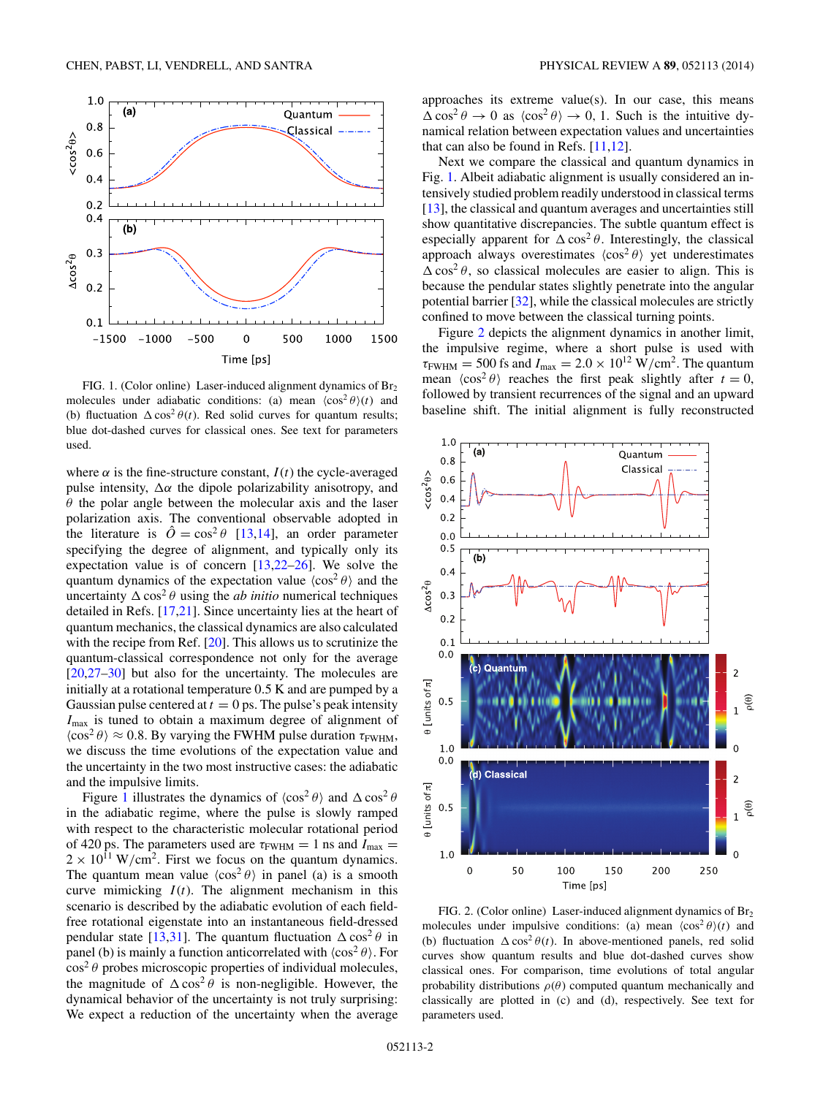<span id="page-1-0"></span>

FIG. 1. (Color online) Laser-induced alignment dynamics of Br<sub>2</sub> molecules under adiabatic conditions: (a) mean  $\langle \cos^2 \theta \rangle(t)$  and (b) fluctuation  $\Delta \cos^2 \theta(t)$ . Red solid curves for quantum results; blue dot-dashed curves for classical ones. See text for parameters used.

where  $\alpha$  is the fine-structure constant,  $I(t)$  the cycle-averaged pulse intensity,  $\Delta \alpha$  the dipole polarizability anisotropy, and *θ* the polar angle between the molecular axis and the laser polarization axis. The conventional observable adopted in the literature is  $\hat{O} = \cos^2 \theta$  [\[13,14\]](#page-3-0), an order parameter specifying the degree of alignment, and typically only its expectation value is of concern  $[13,22-26]$  $[13,22-26]$ . We solve the quantum dynamics of the expectation value  $\langle \cos^2 \theta \rangle$  and the uncertainty  $\Delta \cos^2 \theta$  using the *ab initio* numerical techniques detailed in Refs. [\[17,21\]](#page-3-0). Since uncertainty lies at the heart of quantum mechanics, the classical dynamics are also calculated with the recipe from Ref. [\[20\]](#page-3-0). This allows us to scrutinize the quantum-classical correspondence not only for the average [\[20,](#page-3-0)[27–30\]](#page-4-0) but also for the uncertainty. The molecules are initially at a rotational temperature 0*.*5 K and are pumped by a Gaussian pulse centered at  $t = 0$  ps. The pulse's peak intensity *I*max is tuned to obtain a maximum degree of alignment of  $\langle \cos^2 \theta \rangle \approx 0.8$ . By varying the FWHM pulse duration  $\tau_{\text{FWHM}}$ , we discuss the time evolutions of the expectation value and the uncertainty in the two most instructive cases: the adiabatic and the impulsive limits.

Figure 1 illustrates the dynamics of  $\langle \cos^2 \theta \rangle$  and  $\Delta \cos^2 \theta$ in the adiabatic regime, where the pulse is slowly ramped with respect to the characteristic molecular rotational period of 420 ps. The parameters used are  $\tau_{\text{FWHM}} = 1$  ns and  $I_{\text{max}} =$  $2 \times 10^{11}$  W/cm<sup>2</sup>. First we focus on the quantum dynamics. The quantum mean value  $\langle \cos^2 \theta \rangle$  in panel (a) is a smooth curve mimicking  $I(t)$ . The alignment mechanism in this scenario is described by the adiabatic evolution of each fieldfree rotational eigenstate into an instantaneous field-dressed pendular state [\[13,](#page-3-0)[31\]](#page-4-0). The quantum fluctuation  $\Delta \cos^2 \theta$  in panel (b) is mainly a function anticorrelated with  $\langle \cos^2 \theta \rangle$ . For  $\cos^2 \theta$  probes microscopic properties of individual molecules, the magnitude of  $\Delta \cos^2 \theta$  is non-negligible. However, the dynamical behavior of the uncertainty is not truly surprising: We expect a reduction of the uncertainty when the average

approaches its extreme value(s). In our case, this means  $\Delta \cos^2 \theta \to 0$  as  $\langle \cos^2 \theta \rangle \to 0$ , 1. Such is the intuitive dynamical relation between expectation values and uncertainties that can also be found in Refs. [\[11,12\]](#page-3-0).

Next we compare the classical and quantum dynamics in Fig. 1. Albeit adiabatic alignment is usually considered an intensively studied problem readily understood in classical terms [\[13\]](#page-3-0), the classical and quantum averages and uncertainties still show quantitative discrepancies. The subtle quantum effect is especially apparent for  $\Delta \cos^2 \theta$ . Interestingly, the classical approach always overestimates  $\langle \cos^2 \theta \rangle$  yet underestimates  $\Delta \cos^2 \theta$ , so classical molecules are easier to align. This is because the pendular states slightly penetrate into the angular potential barrier [\[32\]](#page-4-0), while the classical molecules are strictly confined to move between the classical turning points.

Figure 2 depicts the alignment dynamics in another limit, the impulsive regime, where a short pulse is used with  $\tau_{FWHM} = 500$  fs and  $I_{max} = 2.0 \times 10^{12}$  W/cm<sup>2</sup>. The quantum mean  $\langle \cos^2 \theta \rangle$  reaches the first peak slightly after  $t = 0$ , followed by transient recurrences of the signal and an upward baseline shift. The initial alignment is fully reconstructed



FIG. 2. (Color online) Laser-induced alignment dynamics of Br<sub>2</sub> molecules under impulsive conditions: (a) mean  $\langle \cos^2 \theta \rangle(t)$  and (b) fluctuation  $\Delta \cos^2 \theta(t)$ . In above-mentioned panels, red solid curves show quantum results and blue dot-dashed curves show classical ones. For comparison, time evolutions of total angular probability distributions *ρ*(*θ*) computed quantum mechanically and classically are plotted in (c) and (d), respectively. See text for parameters used.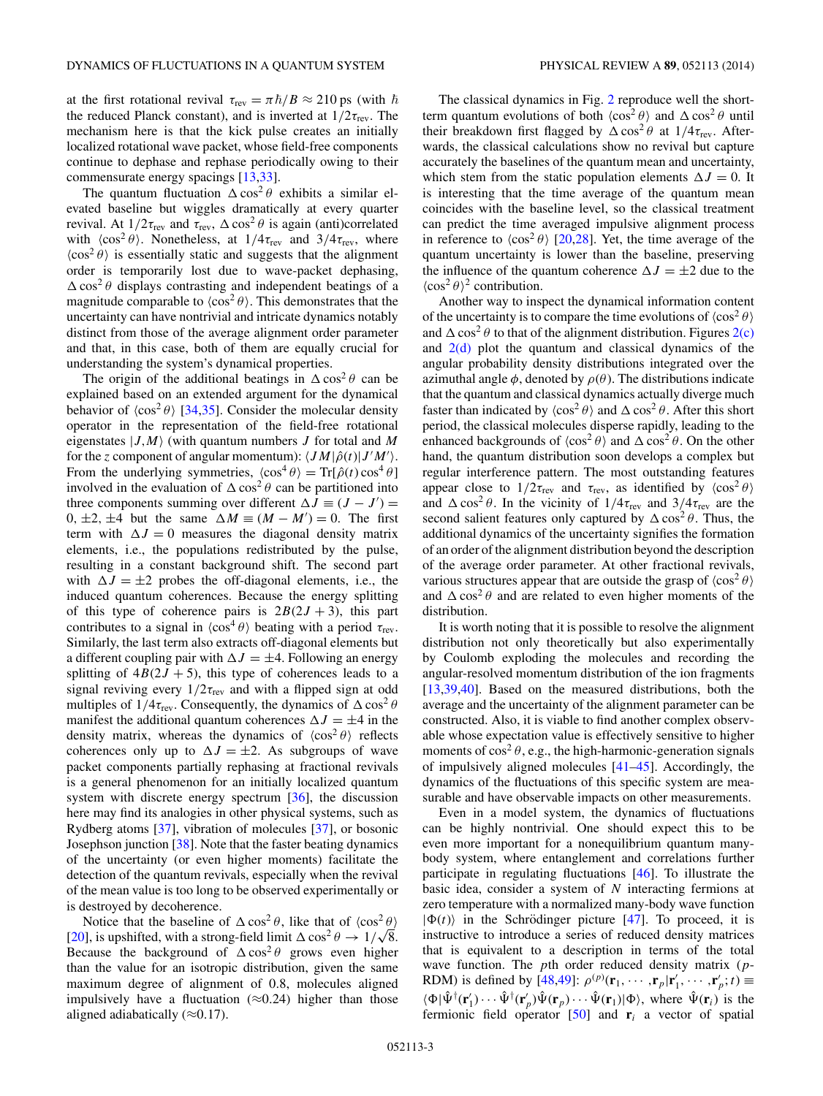at the first rotational revival  $\tau_{rev} = \pi \hbar / B \approx 210 \text{ ps}$  (with  $\hbar$ the reduced Planck constant), and is inverted at  $1/2\tau_{\text{rev}}$ . The mechanism here is that the kick pulse creates an initially localized rotational wave packet, whose field-free components continue to dephase and rephase periodically owing to their commensurate energy spacings [\[13](#page-3-0)[,33\]](#page-4-0).

The quantum fluctuation  $\Delta \cos^2 \theta$  exhibits a similar elevated baseline but wiggles dramatically at every quarter revival. At  $1/2\tau_{rev}$  and  $\tau_{rev}$ ,  $\Delta \cos^2 \theta$  is again (anti)correlated with  $\langle \cos^2 \theta \rangle$ . Nonetheless, at  $1/4\tau_{\text{rev}}$  and  $3/4\tau_{\text{rev}}$ , where  $\langle \cos^2 \theta \rangle$  is essentially static and suggests that the alignment order is temporarily lost due to wave-packet dephasing,  $\triangle$  cos<sup>2</sup> $\theta$  displays contrasting and independent beatings of a magnitude comparable to  $\langle \cos^2 \theta \rangle$ . This demonstrates that the uncertainty can have nontrivial and intricate dynamics notably distinct from those of the average alignment order parameter and that, in this case, both of them are equally crucial for understanding the system's dynamical properties.

The origin of the additional beatings in  $\Delta \cos^2 \theta$  can be explained based on an extended argument for the dynamical behavior of  $\langle \cos^2 \theta \rangle$  [\[34,35\]](#page-4-0). Consider the molecular density operator in the representation of the field-free rotational eigenstates  $|J, M\rangle$  (with quantum numbers *J* for total and *M* for the *z* component of angular momentum):  $\langle JM|\hat{\rho}(t)|J'M'\rangle$ . From the underlying symmetries,  $\langle \cos^4 \theta \rangle = \text{Tr}[\hat{\rho}(t) \cos^4 \theta]$ involved in the evaluation of  $\Delta \cos^2 \theta$  can be partitioned into three components summing over different  $\Delta J \equiv (J - J') =$  $0, \pm 2, \pm 4$  but the same  $\Delta M \equiv (M - M') = 0$ . The first term with  $\Delta J = 0$  measures the diagonal density matrix elements, i.e., the populations redistributed by the pulse, resulting in a constant background shift. The second part with  $\Delta J = \pm 2$  probes the off-diagonal elements, i.e., the induced quantum coherences. Because the energy splitting of this type of coherence pairs is  $2B(2J + 3)$ , this part contributes to a signal in  $\langle \cos^4 \theta \rangle$  beating with a period  $\tau_{\text{rev}}$ . Similarly, the last term also extracts off-diagonal elements but a different coupling pair with  $\Delta J = \pm 4$ . Following an energy splitting of  $4B(2J + 5)$ , this type of coherences leads to a signal reviving every  $1/2\tau_{\text{rev}}$  and with a flipped sign at odd multiples of  $1/4\tau_{\text{rev}}$ . Consequently, the dynamics of  $\Delta \cos^2 \theta$ manifest the additional quantum coherences  $\Delta J = \pm 4$  in the density matrix, whereas the dynamics of  $\langle \cos^2 \theta \rangle$  reflects coherences only up to  $\Delta J = \pm 2$ . As subgroups of wave packet components partially rephasing at fractional revivals is a general phenomenon for an initially localized quantum system with discrete energy spectrum [\[36\]](#page-4-0), the discussion here may find its analogies in other physical systems, such as Rydberg atoms [\[37\]](#page-4-0), vibration of molecules [\[37\]](#page-4-0), or bosonic Josephson junction [\[38\]](#page-4-0). Note that the faster beating dynamics of the uncertainty (or even higher moments) facilitate the detection of the quantum revivals, especially when the revival of the mean value is too long to be observed experimentally or is destroyed by decoherence.

Notice that the baseline of  $\triangle \cos^2 \theta$ , like that of  $\langle \cos^2 \theta \rangle$ [\[20\]](#page-3-0), is upshifted, with a strong-field limit  $\Delta \cos^2 \theta \rightarrow 1/\sqrt{8}$ . Because the background of  $\Delta \cos^2 \theta$  grows even higher than the value for an isotropic distribution, given the same maximum degree of alignment of 0*.*8, molecules aligned impulsively have a fluctuation  $(\approx 0.24)$  higher than those aligned adiabatically (≈0*.*17).

The classical dynamics in Fig. [2](#page-1-0) reproduce well the shortterm quantum evolutions of both  $\langle \cos^2 \theta \rangle$  and  $\Delta \cos^2 \theta$  until their breakdown first flagged by  $\Delta \cos^2 \theta$  at  $1/4\tau_{rev}$ . Afterwards, the classical calculations show no revival but capture accurately the baselines of the quantum mean and uncertainty, which stem from the static population elements  $\Delta J = 0$ . It is interesting that the time average of the quantum mean coincides with the baseline level, so the classical treatment can predict the time averaged impulsive alignment process in reference to  $\langle \cos^2 \theta \rangle$  [\[20,](#page-3-0)[28\]](#page-4-0). Yet, the time average of the quantum uncertainty is lower than the baseline, preserving the influence of the quantum coherence  $\Delta J = \pm 2$  due to the  $\langle \cos^2 \theta \rangle^2$  contribution.

Another way to inspect the dynamical information content of the uncertainty is to compare the time evolutions of  $\langle \cos^2 \theta \rangle$ and  $\Delta \cos^2 \theta$  to that of the alignment distribution. Figures  $2(c)$ and  $2(d)$  plot the quantum and classical dynamics of the angular probability density distributions integrated over the azimuthal angle  $\phi$ , denoted by  $\rho(\theta)$ . The distributions indicate that the quantum and classical dynamics actually diverge much faster than indicated by  $\langle \cos^2 \theta \rangle$  and  $\Delta \cos^2 \theta$ . After this short period, the classical molecules disperse rapidly, leading to the enhanced backgrounds of  $\langle \cos^2 \theta \rangle$  and  $\Delta \cos^2 \theta$ . On the other hand, the quantum distribution soon develops a complex but regular interference pattern. The most outstanding features appear close to  $1/2\tau_{\text{rev}}$  and  $\tau_{\text{rev}}$ , as identified by  $\langle \cos^2 \theta \rangle$ and  $\Delta \cos^2 \theta$ . In the vicinity of  $1/4\tau_{\text{rev}}$  and  $3/4\tau_{\text{rev}}$  are the second salient features only captured by  $\Delta \cos^2 \theta$ . Thus, the additional dynamics of the uncertainty signifies the formation of an order of the alignment distribution beyond the description of the average order parameter. At other fractional revivals, various structures appear that are outside the grasp of  $\langle \cos^2 \theta \rangle$ and  $\Delta \cos^2 \theta$  and are related to even higher moments of the distribution.

It is worth noting that it is possible to resolve the alignment distribution not only theoretically but also experimentally by Coulomb exploding the molecules and recording the angular-resolved momentum distribution of the ion fragments [\[13](#page-3-0)[,39,40\]](#page-4-0). Based on the measured distributions, both the average and the uncertainty of the alignment parameter can be constructed. Also, it is viable to find another complex observable whose expectation value is effectively sensitive to higher moments of  $\cos^2 \theta$ , e.g., the high-harmonic-generation signals of impulsively aligned molecules [\[41–45\]](#page-4-0). Accordingly, the dynamics of the fluctuations of this specific system are measurable and have observable impacts on other measurements.

Even in a model system, the dynamics of fluctuations can be highly nontrivial. One should expect this to be even more important for a nonequilibrium quantum manybody system, where entanglement and correlations further participate in regulating fluctuations [\[46\]](#page-4-0). To illustrate the basic idea, consider a system of *N* interacting fermions at zero temperature with a normalized many-body wave function  $|\Phi(t)\rangle$  in the Schrödinger picture [[47\]](#page-4-0). To proceed, it is instructive to introduce a series of reduced density matrices that is equivalent to a description in terms of the total wave function. The *p*th order reduced density matrix (*p*-RDM) is defined by  $[48,49]$ :  $\rho^{(p)}(\mathbf{r}_1, \cdots, \mathbf{r}_p | \mathbf{r}'_1, \cdots, \mathbf{r}'_p; t) \equiv$  $\langle \Phi | \hat{\Psi}^{\dagger}(\mathbf{r}'_1) \cdots \hat{\Psi}^{\dagger}(\mathbf{r}'_p) \hat{\Psi}(\mathbf{r}_p) \cdots \hat{\Psi}(\mathbf{r}_1) | \Phi \rangle$ , where  $\hat{\Psi}(\mathbf{r}_i)$  is the fermionic field operator  $[50]$  and  $\mathbf{r}_i$  a vector of spatial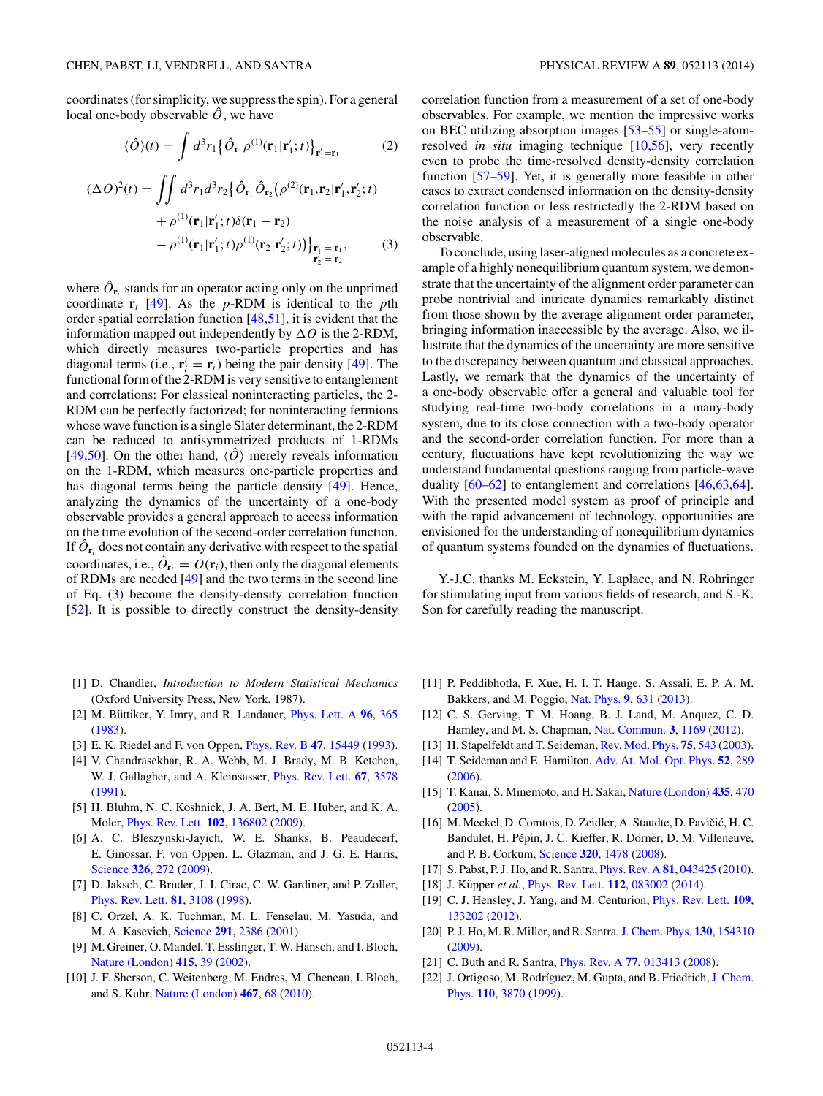<span id="page-3-0"></span>coordinates (for simplicity, we suppress the spin). For a general local one-body observable  $\ddot{\theta}$ , we have

$$
\langle \hat{O} \rangle(t) = \int d^3 r_1 \left\{ \hat{O}_{\mathbf{r}_1} \rho^{(1)}(\mathbf{r}_1|\mathbf{r}'_1;t) \right\}_{\mathbf{r}'_1 = \mathbf{r}_1}
$$
(2)

$$
(\Delta O)^2(t) = \iint d^3r_1 d^3r_2 \{ \hat{O}_{\mathbf{r}_1} \hat{O}_{\mathbf{r}_2} (\rho^{(2)}(\mathbf{r}_1, \mathbf{r}_2 | \mathbf{r}_1', \mathbf{r}_2'; t) + \rho^{(1)}(\mathbf{r}_1 | \mathbf{r}_1'; t) \delta(\mathbf{r}_1 - \mathbf{r}_2) - \rho^{(1)}(\mathbf{r}_1 | \mathbf{r}_1'; t) \rho^{(1)}(\mathbf{r}_2 | \mathbf{r}_2'; t) \}_{\mathbf{r}_1' = \mathbf{r}_1, \atop \mathbf{r}_2' = \mathbf{r}_2}
$$
(3)

where  $\hat{O}_{\mathbf{r}_i}$  stands for an operator acting only on the unprimed coordinate  $\mathbf{r}_i$  [\[49\]](#page-4-0). As the *p*-RDM is identical to the *p*th order spatial correlation function [\[48,51\]](#page-4-0), it is evident that the information mapped out independently by  $\Delta O$  is the 2-RDM, which directly measures two-particle properties and has diagonal terms (i.e.,  $\mathbf{r}'_i = \mathbf{r}_i$ ) being the pair density [\[49\]](#page-4-0). The functional form of the 2-RDM is very sensitive to entanglement and correlations: For classical noninteracting particles, the 2- RDM can be perfectly factorized; for noninteracting fermions whose wave function is a single Slater determinant, the 2-RDM can be reduced to antisymmetrized products of 1-RDMs [\[49,50\]](#page-4-0). On the other hand,  $\langle \hat{O} \rangle$  merely reveals information on the 1-RDM, which measures one-particle properties and has diagonal terms being the particle density [\[49\]](#page-4-0). Hence, analyzing the dynamics of the uncertainty of a one-body observable provides a general approach to access information on the time evolution of the second-order correlation function. If  $\hat{O}_{\mathbf{r}_i}$  does not contain any derivative with respect to the spatial coordinates, i.e.,  $\hat{O}_{\mathbf{r}_i} = O(\mathbf{r}_i)$ , then only the diagonal elements of RDMs are needed [\[49\]](#page-4-0) and the two terms in the second line of Eq. (3) become the density-density correlation function [\[52\]](#page-4-0). It is possible to directly construct the density-density

- [1] D. Chandler, *Introduction to Modern Statistical Mechanics* (Oxford University Press, New York, 1987).
- [2] M. Büttiker, Y. Imry, and R. Landauer,  $Phys.$  Lett. A  $96$ ,  $365$ [\(1983\)](http://dx.doi.org/10.1016/0375-9601(83)90011-7).
- [3] E. K. Riedel and F. von Oppen, [Phys. Rev. B](http://dx.doi.org/10.1103/PhysRevB.47.15449) **[47](http://dx.doi.org/10.1103/PhysRevB.47.15449)**, [15449](http://dx.doi.org/10.1103/PhysRevB.47.15449) [\(1993\)](http://dx.doi.org/10.1103/PhysRevB.47.15449).
- [4] V. Chandrasekhar, R. A. Webb, M. J. Brady, M. B. Ketchen, W. J. Gallagher, and A. Kleinsasser, [Phys. Rev. Lett.](http://dx.doi.org/10.1103/PhysRevLett.67.3578) **[67](http://dx.doi.org/10.1103/PhysRevLett.67.3578)**, [3578](http://dx.doi.org/10.1103/PhysRevLett.67.3578) [\(1991\)](http://dx.doi.org/10.1103/PhysRevLett.67.3578).
- [5] H. Bluhm, N. C. Koshnick, J. A. Bert, M. E. Huber, and K. A. Moler, [Phys. Rev. Lett.](http://dx.doi.org/10.1103/PhysRevLett.102.136802) **[102](http://dx.doi.org/10.1103/PhysRevLett.102.136802)**, [136802](http://dx.doi.org/10.1103/PhysRevLett.102.136802) [\(2009\)](http://dx.doi.org/10.1103/PhysRevLett.102.136802).
- [6] A. C. Bleszynski-Jayich, W. E. Shanks, B. Peaudecerf, E. Ginossar, F. von Oppen, L. Glazman, and J. G. E. Harris, [Science](http://dx.doi.org/10.1126/science.1178139) **[326](http://dx.doi.org/10.1126/science.1178139)**, [272](http://dx.doi.org/10.1126/science.1178139) [\(2009\)](http://dx.doi.org/10.1126/science.1178139).
- [7] D. Jaksch, C. Bruder, J. I. Cirac, C. W. Gardiner, and P. Zoller, [Phys. Rev. Lett.](http://dx.doi.org/10.1103/PhysRevLett.81.3108) **[81](http://dx.doi.org/10.1103/PhysRevLett.81.3108)**, [3108](http://dx.doi.org/10.1103/PhysRevLett.81.3108) [\(1998\)](http://dx.doi.org/10.1103/PhysRevLett.81.3108).
- [8] C. Orzel, A. K. Tuchman, M. L. Fenselau, M. Yasuda, and M. A. Kasevich, [Science](http://dx.doi.org/10.1126/science.1058149) **[291](http://dx.doi.org/10.1126/science.1058149)**, [2386](http://dx.doi.org/10.1126/science.1058149) [\(2001\)](http://dx.doi.org/10.1126/science.1058149).
- [9] M. Greiner, O. Mandel, T. Esslinger, T. W. Hänsch, and I. Bloch, [Nature \(London\)](http://dx.doi.org/10.1038/415039a) **[415](http://dx.doi.org/10.1038/415039a)**, [39](http://dx.doi.org/10.1038/415039a) [\(2002\)](http://dx.doi.org/10.1038/415039a).
- [10] J. F. Sherson, C. Weitenberg, M. Endres, M. Cheneau, I. Bloch, and S. Kuhr, [Nature \(London\)](http://dx.doi.org/10.1038/nature09378) **[467](http://dx.doi.org/10.1038/nature09378)**, [68](http://dx.doi.org/10.1038/nature09378) [\(2010\)](http://dx.doi.org/10.1038/nature09378).

correlation function from a measurement of a set of one-body observables. For example, we mention the impressive works on BEC utilizing absorption images [\[53–55\]](#page-4-0) or single-atomresolved *in situ* imaging technique [10[,56\]](#page-4-0), very recently even to probe the time-resolved density-density correlation function [\[57–59\]](#page-4-0). Yet, it is generally more feasible in other cases to extract condensed information on the density-density correlation function or less restrictedly the 2-RDM based on the noise analysis of a measurement of a single one-body observable.

To conclude, using laser-aligned molecules as a concrete example of a highly nonequilibrium quantum system, we demonstrate that the uncertainty of the alignment order parameter can probe nontrivial and intricate dynamics remarkably distinct from those shown by the average alignment order parameter, bringing information inaccessible by the average. Also, we illustrate that the dynamics of the uncertainty are more sensitive to the discrepancy between quantum and classical approaches. Lastly, we remark that the dynamics of the uncertainty of a one-body observable offer a general and valuable tool for studying real-time two-body correlations in a many-body system, due to its close connection with a two-body operator and the second-order correlation function. For more than a century, fluctuations have kept revolutionizing the way we understand fundamental questions ranging from particle-wave duality [\[60–62\]](#page-4-0) to entanglement and correlations [\[46,63,64\]](#page-4-0). With the presented model system as proof of principle and with the rapid advancement of technology, opportunities are envisioned for the understanding of nonequilibrium dynamics of quantum systems founded on the dynamics of fluctuations.

Y.-J.C. thanks M. Eckstein, Y. Laplace, and N. Rohringer for stimulating input from various fields of research, and S.-K. Son for carefully reading the manuscript.

- [11] P. Peddibhotla, F. Xue, H. I. T. Hauge, S. Assali, E. P. A. M. Bakkers, and M. Poggio, [Nat. Phys.](http://dx.doi.org/10.1038/nphys2731) **[9](http://dx.doi.org/10.1038/nphys2731)**, [631](http://dx.doi.org/10.1038/nphys2731) [\(2013\)](http://dx.doi.org/10.1038/nphys2731).
- [12] C. S. Gerving, T. M. Hoang, B. J. Land, M. Anquez, C. D. Hamley, and M. S. Chapman, [Nat. Commun.](http://dx.doi.org/10.1038/ncomms2179) **[3](http://dx.doi.org/10.1038/ncomms2179)**, [1169](http://dx.doi.org/10.1038/ncomms2179) [\(2012\)](http://dx.doi.org/10.1038/ncomms2179).
- [13] H. Stapelfeldt and T. Seideman, [Rev. Mod. Phys.](http://dx.doi.org/10.1103/RevModPhys.75.543) **[75](http://dx.doi.org/10.1103/RevModPhys.75.543)**, [543](http://dx.doi.org/10.1103/RevModPhys.75.543) [\(2003\)](http://dx.doi.org/10.1103/RevModPhys.75.543).
- [14] T. Seideman and E. Hamilton, [Adv. At. Mol. Opt. Phys.](http://dx.doi.org/10.1016/S1049-250X(05)52006-8) **[52](http://dx.doi.org/10.1016/S1049-250X(05)52006-8)**, [289](http://dx.doi.org/10.1016/S1049-250X(05)52006-8) [\(2006\)](http://dx.doi.org/10.1016/S1049-250X(05)52006-8).
- [15] T. Kanai, S. Minemoto, and H. Sakai, [Nature \(London\)](http://dx.doi.org/10.1038/nature03577) **[435](http://dx.doi.org/10.1038/nature03577)**, [470](http://dx.doi.org/10.1038/nature03577) [\(2005\)](http://dx.doi.org/10.1038/nature03577).
- [16] M. Meckel, D. Comtois, D. Zeidler, A. Staudte, D. Pavičić, H. C. Bandulet, H. Pépin, J. C. Kieffer, R. Dörner, D. M. Villeneuve, and P. B. Corkum, [Science](http://dx.doi.org/10.1126/science.1157980) **[320](http://dx.doi.org/10.1126/science.1157980)**, [1478](http://dx.doi.org/10.1126/science.1157980) [\(2008\)](http://dx.doi.org/10.1126/science.1157980).
- [17] S. Pabst, P. J. Ho, and R. Santra, [Phys. Rev. A](http://dx.doi.org/10.1103/PhysRevA.81.043425) **[81](http://dx.doi.org/10.1103/PhysRevA.81.043425)**, [043425](http://dx.doi.org/10.1103/PhysRevA.81.043425) [\(2010\)](http://dx.doi.org/10.1103/PhysRevA.81.043425).
- [18] J. Küpper et al., *[Phys. Rev. Lett.](http://dx.doi.org/10.1103/PhysRevLett.112.083002)* **[112](http://dx.doi.org/10.1103/PhysRevLett.112.083002)**, [083002](http://dx.doi.org/10.1103/PhysRevLett.112.083002) [\(2014\)](http://dx.doi.org/10.1103/PhysRevLett.112.083002).
- [19] C. J. Hensley, J. Yang, and M. Centurion, [Phys. Rev. Lett.](http://dx.doi.org/10.1103/PhysRevLett.109.133202) **[109](http://dx.doi.org/10.1103/PhysRevLett.109.133202)**, [133202](http://dx.doi.org/10.1103/PhysRevLett.109.133202) [\(2012\)](http://dx.doi.org/10.1103/PhysRevLett.109.133202).
- [20] P. J. Ho, M. R. Miller, and R. Santra,[J. Chem. Phys.](http://dx.doi.org/10.1063/1.3120608) **[130](http://dx.doi.org/10.1063/1.3120608)**, [154310](http://dx.doi.org/10.1063/1.3120608) [\(2009\)](http://dx.doi.org/10.1063/1.3120608).
- [21] C. Buth and R. Santra, [Phys. Rev. A](http://dx.doi.org/10.1103/PhysRevA.77.013413) **[77](http://dx.doi.org/10.1103/PhysRevA.77.013413)**, [013413](http://dx.doi.org/10.1103/PhysRevA.77.013413) [\(2008\)](http://dx.doi.org/10.1103/PhysRevA.77.013413).
- [22] J. Ortigoso, M. Rodríguez, M. Gupta, and B. Friedrich, J. Chem. Phys. **[110](http://dx.doi.org/10.1063/1.478241)**, [3870](http://dx.doi.org/10.1063/1.478241) [\(1999\)](http://dx.doi.org/10.1063/1.478241).